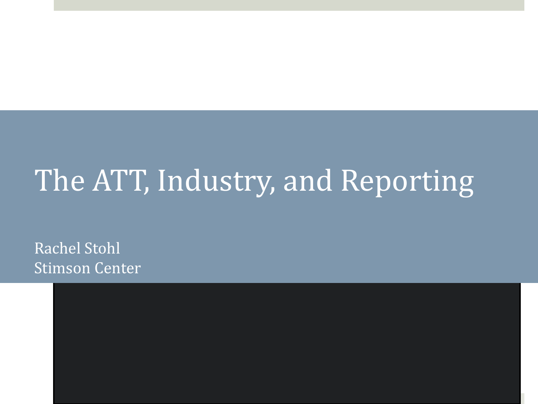#### The ATT, Industry, and Reporting

Rachel Stohl Stimson Center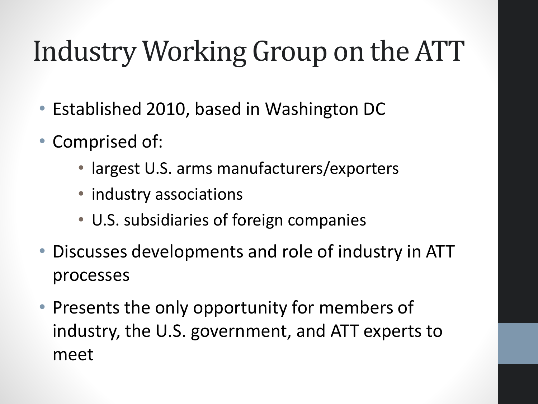## Industry Working Group on the ATT

- Established 2010, based in Washington DC
- Comprised of:
	- largest U.S. arms manufacturers/exporters
	- industry associations
	- U.S. subsidiaries of foreign companies
- Discusses developments and role of industry in ATT processes
- Presents the only opportunity for members of industry, the U.S. government, and ATT experts to meet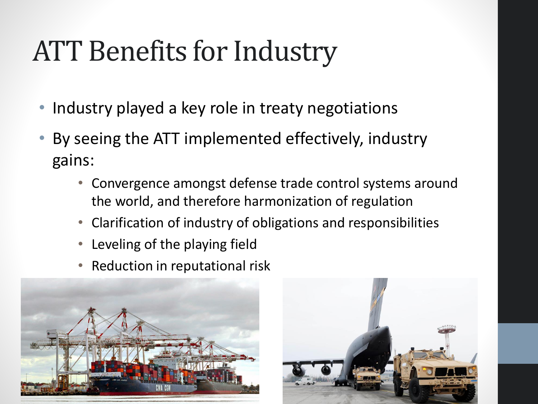#### ATT Benefits for Industry

- Industry played a key role in treaty negotiations
- By seeing the ATT implemented effectively, industry gains:
	- Convergence amongst defense trade control systems around the world, and therefore harmonization of regulation
	- Clarification of industry of obligations and responsibilities
	- Leveling of the playing field
	- Reduction in reputational risk



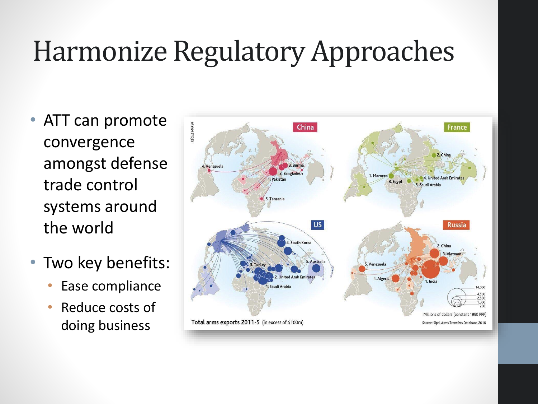#### Harmonize Regulatory Approaches

- ATT can promote convergence amongst defense trade control systems around the world
- Two key benefits:
	- Ease compliance
	- Reduce costs of doing business

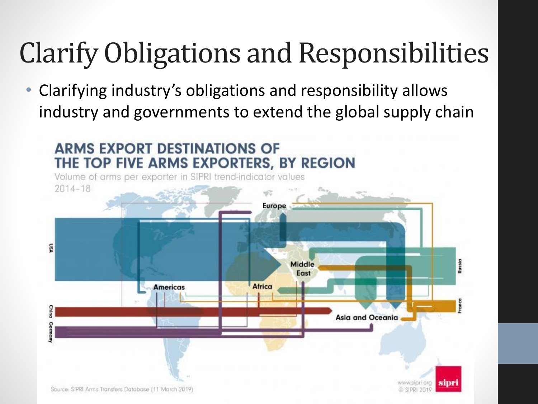## Clarify Obligations and Responsibilities

• Clarifying industry's obligations and responsibility allows industry and governments to extend the global supply chain

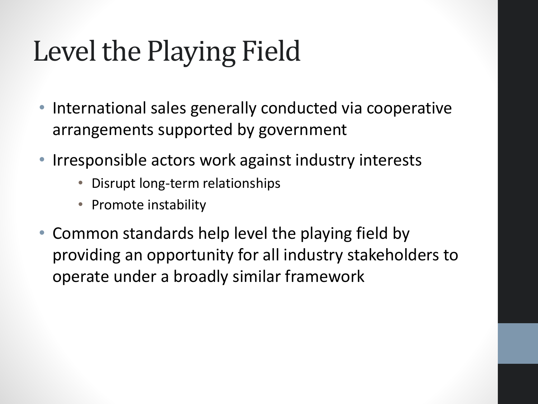## Level the Playing Field

- International sales generally conducted via cooperative arrangements supported by government
- Irresponsible actors work against industry interests
	- Disrupt long-term relationships
	- Promote instability
- Common standards help level the playing field by providing an opportunity for all industry stakeholders to operate under a broadly similar framework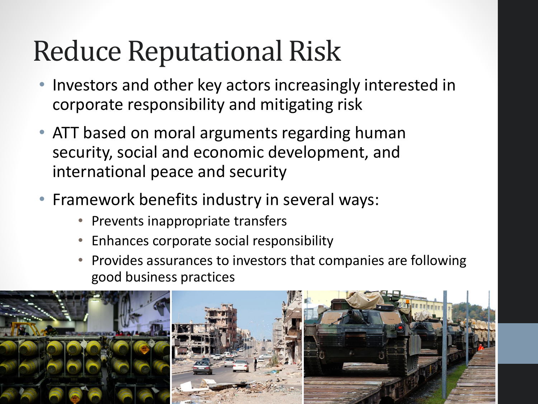#### Reduce Reputational Risk

- Investors and other key actors increasingly interested in corporate responsibility and mitigating risk
- ATT based on moral arguments regarding human security, social and economic development, and international peace and security
- Framework benefits industry in several ways:
	- Prevents inappropriate transfers
	- Enhances corporate social responsibility
	- Provides assurances to investors that companies are following good business practices

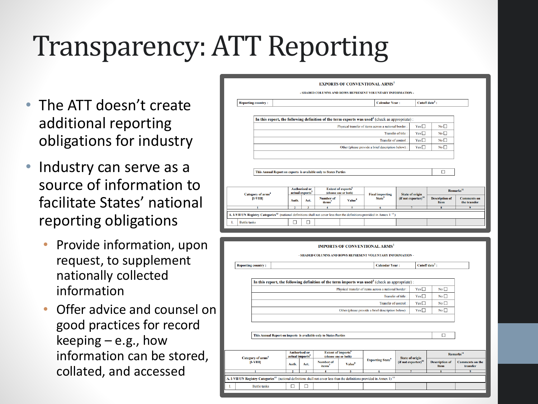## Transparency: ATT Reporting

- The ATT doesn't create additional reporting obligations for industry
- Industry can serve as a source of information to facilitate States' national reporting obligations
	- Provide information, upon request, to supplement nationally collected information
	- Offer advice and counsel on good practices for record keeping  $-$  e.g., how information can be stored, collated, and accessed

|                                                                  |  |                                                      |                         |                                                                   |                           | <b>EXPORTS OF CONVENTIONAL ARMS</b><br>- SHADED COLUMNS AND ROWS REPRESENT VOLUNTARY INFORMATION -                                                |                                 |               |                               |                                    |
|------------------------------------------------------------------|--|------------------------------------------------------|-------------------------|-------------------------------------------------------------------|---------------------------|---------------------------------------------------------------------------------------------------------------------------------------------------|---------------------------------|---------------|-------------------------------|------------------------------------|
| <b>Reporting country:</b>                                        |  |                                                      |                         |                                                                   | <b>Calendar Year:</b>     |                                                                                                                                                   | Cutoff date <sup>2</sup> :      |               |                               |                                    |
|                                                                  |  |                                                      |                         |                                                                   |                           | In this report, the following definition of the term exports was used <sup>3</sup> (check as appropriate) :                                       |                                 |               |                               |                                    |
|                                                                  |  | Physical transfer of items across a national border: |                         |                                                                   |                           |                                                                                                                                                   |                                 | Yes $\square$ | No                            |                                    |
|                                                                  |  |                                                      | Transfer of title:      |                                                                   |                           |                                                                                                                                                   |                                 |               | No                            |                                    |
| Yes $\square$<br>Transfer of control:                            |  |                                                      |                         |                                                                   |                           |                                                                                                                                                   | No                              |               |                               |                                    |
| $Yes \Box$<br>Other (please provide a brief description below) : |  |                                                      |                         |                                                                   |                           |                                                                                                                                                   | $No \Box$                       |               |                               |                                    |
|                                                                  |  |                                                      |                         |                                                                   |                           |                                                                                                                                                   |                                 |               |                               |                                    |
|                                                                  |  |                                                      |                         | This Annual Report on exports is available only to States Parties |                           |                                                                                                                                                   |                                 |               | П                             |                                    |
|                                                                  |  |                                                      |                         |                                                                   |                           |                                                                                                                                                   |                                 |               |                               |                                    |
| Category of arms <sup>4</sup><br>$[$ I-VIII]                     |  | <b>Authorised or</b><br>actual exports <sup>5</sup>  |                         | <b>Extent of exports</b> <sup>6</sup><br>(choose one or both)     |                           | <b>Final importing</b>                                                                                                                            | <b>State of origin</b>          |               | Remarks <sup>11</sup>         |                                    |
|                                                                  |  | Auth.                                                | Act.                    | <b>Number of</b><br>items <sup>7</sup>                            | <b>Value</b> <sup>8</sup> | <b>State</b> <sup>9</sup>                                                                                                                         | (if not exporter) <sup>10</sup> |               | <b>Description of</b><br>Item | <b>Comments</b> on<br>the transfer |
| 1                                                                |  | $\overline{2}$                                       | $\overline{\mathbf{3}}$ | 5<br>$\overline{4}$                                               |                           | 6                                                                                                                                                 | $\overline{7}$                  |               | 8<br>9                        |                                    |
|                                                                  |  |                                                      |                         |                                                                   |                           | A. I-VII UN Registry Categories <sup>12</sup> (national definitions shall not cover less than the definitions provided in Annex 1 <sup>13</sup> ) |                                 |               |                               |                                    |
| <b>Battle tanks</b>                                              |  | □                                                    | п                       |                                                                   |                           |                                                                                                                                                   |                                 |               |                               |                                    |
|                                                                  |  |                                                      |                         |                                                                   |                           |                                                                                                                                                   |                                 |               |                               |                                    |

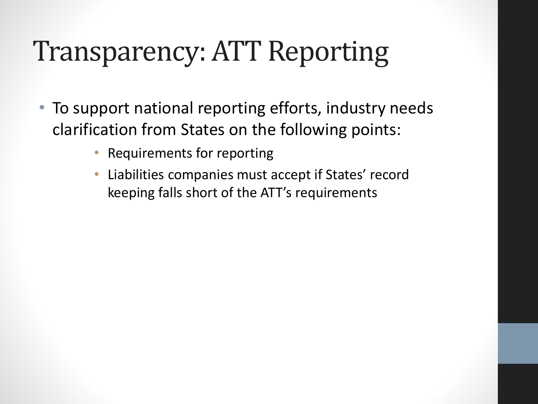#### Transparency: ATT Reporting

- To support national reporting efforts, industry needs clarification from States on the following points:
	- Requirements for reporting
	- Liabilities companies must accept if States' record keeping falls short of the ATT's requirements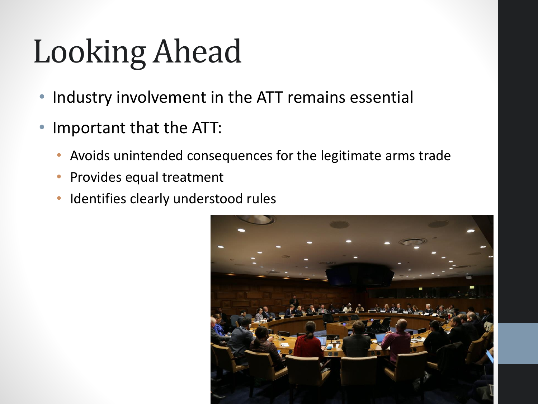# Looking Ahead

- Industry involvement in the ATT remains essential
- Important that the ATT:
	- Avoids unintended consequences for the legitimate arms trade
	- Provides equal treatment
	- Identifies clearly understood rules